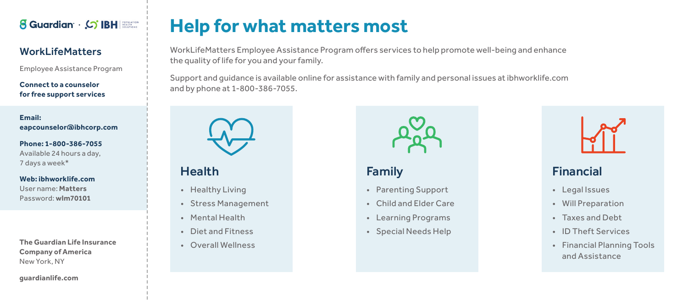

#### WorkLifeMatters

Employee Assistance Program

**Connect to a counselor for free support services**

#### **Email: eapcounselor@ibhcorp.com**

**Phone: 1-800-386-7055** Available 24 hours a day, 7 days a week\*

**Web: ibhworklife.com**

User name: **Matters** Password: **wlm70101**

**The Guardian Life Insurance Company of America** New York, NY

**guardianlife.com**

# **Help for what matters most**

WorkLifeMatters Employee Assistance Program offers services to help promote well-being and enhance the quality of life for you and your family.

Support and guidance is available online for assistance with family and personal issues at ibhworklife.com and by phone at 1-800-386-7055.



### Health

- Healthy Living
- Stress Management
- Mental Health
- Diet and Fitness
- Overall Wellness



### Family

- Parenting Support
- Child and Elder Care
- Learning Programs
- Special Needs Help



## Financial

- Legal Issues
- Will Preparation
- Taxes and Debt
- ID Theft Services
- Financial Planning Tools and Assistance